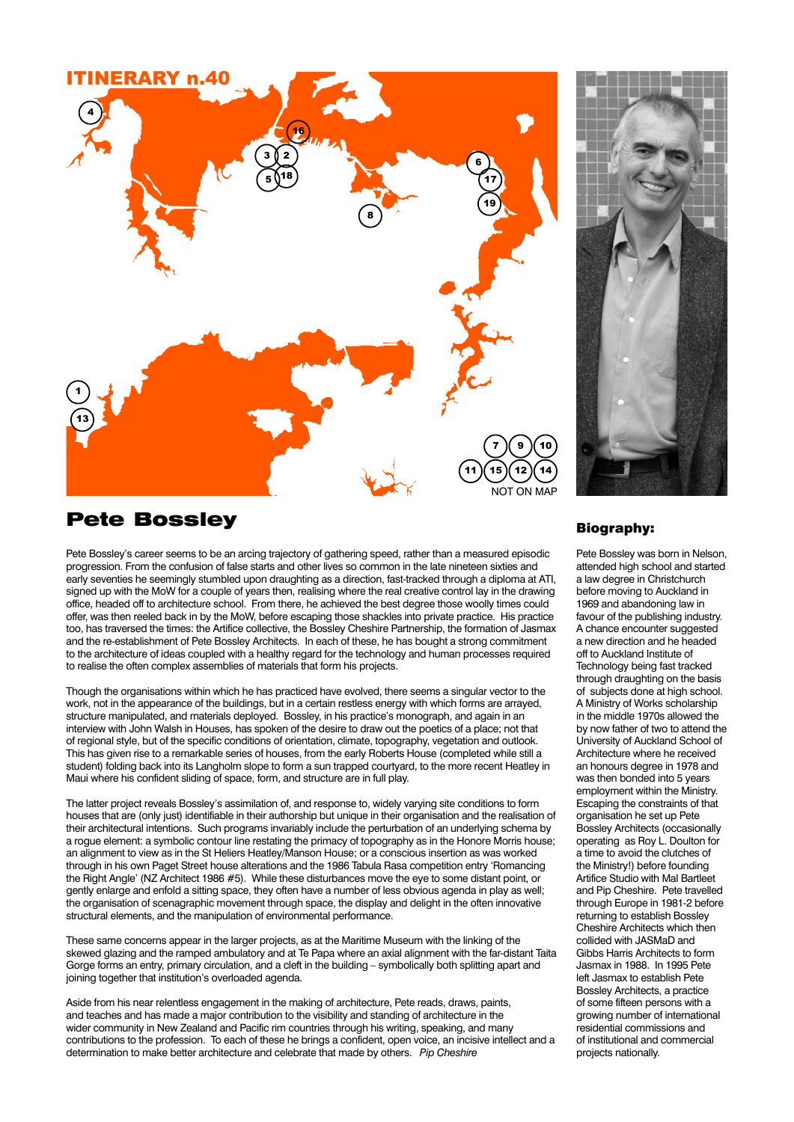



## Pete Bossley

Pete Bossley's career seems to be an arcing trajectory of gathering speed, rather than a measured episodic progression. From the confusion of false starts and other lives so common in the late nineteen sixties and early seventies he seemingly stumbled upon draughting as a direction, fast-tracked through a diploma at ATI, signed up with the MoW for a couple of years then, realising where the real creative control lay in the drawing office, headed off to architecture school. From there, he achieved the best degree those woolly times could offer, was then reeled back in by the MoW, before escaping those shackles into private practice. His practice too, has traversed the times: the Artifice collective, the Bossley Cheshire Partnership, the formation of Jasmax and the re-establishment of Pete Bossley Architects. In each of these, he has bought a strong commitment to the architecture of ideas coupled with a healthy regard for the technology and human processes required to realise the often complex assemblies of materials that form his projects.

Though the organisations within which he has practiced have evolved, there seems a singular vector to the work, not in the appearance of the buildings, but in a certain restless energy with which forms are arrayed, structure manipulated, and materials deployed. Bossley, in his practice's monograph, and again in an interview with John Walsh in Houses, has spoken of the desire to draw out the poetics of a place; not that of regional style, but of the specific conditions of orientation, climate, topography, vegetation and outlook. This has given rise to a remarkable series of houses, from the early Roberts House (completed while still a student) folding back into its Langholm slope to form a sun trapped courtyard, to the more recent Heatley in Maui where his confident sliding of space, form, and structure are in full play.

The latter project reveals Bossley's assimilation of, and response to, widely varying site conditions to form houses that are (only just) identifiable in their authorship but unique in their organisation and the realisation of their architectural intentions. Such programs invariably include the perturbation of an underlying schema by a rogue element: a symbolic contour line restating the primacy of topography as in the Honore Morris house; an alignment to view as in the St Heliers Heatley/Manson House; or a conscious insertion as was worked through in his own Paget Street house alterations and the 1986 Tabula Rasa competition entry 'Romancing the Right Angle' (NZ Architect 1986 #5). While these disturbances move the eye to some distant point, or gently enlarge and enfold a sitting space, they often have a number of less obvious agenda in play as well; the organisation of scenagraphic movement through space, the display and delight in the often innovative structural elements, and the manipulation of environmental performance.

These same concerns appear in the larger projects, as at the Maritime Museum with the linking of the skewed glazing and the ramped ambulatory and at Te Papa where an axial alignment with the far-distant Taita Gorge forms an entry, primary circulation, and a cleft in the building – symbolically both splitting apart and joining together that institution's overloaded agenda.

Aside from his near relentless engagement in the making of architecture, Pete reads, draws, paints, and teaches and has made a major contribution to the visibility and standing of architecture in the wider community in New Zealand and Pacific rim countries through his writing, speaking, and many contributions to the profession. To each of these he brings a confident, open voice, an incisive intellect and a determination to make better architecture and celebrate that made by others. *Pip Cheshire*

## Biography:

Pete Bossley was born in Nelson, attended high school and started a law degree in Christchurch before moving to Auckland in 1969 and abandoning law in favour of the publishing industry. A chance encounter suggested a new direction and he headed off to Auckland Institute of Technology being fast tracked through draughting on the basis of subjects done at high school. A Ministry of Works scholarship in the middle 1970s allowed the by now father of two to attend the University of Auckland School of Architecture where he received an honours degree in 1978 and was then bonded into 5 years employment within the Ministry. Escaping the constraints of that organisation he set up Pete Bossley Architects (occasionally operating as Roy L. Doulton for a time to avoid the clutches of the Ministry!) before founding Artifice Studio with Mal Bartleet and Pip Cheshire. Pete travelled through Europe in 1981-2 before returning to establish Bossley Cheshire Architects which then collided with JASMaD and Gibbs Harris Architects to form Jasmax in 1988. In 1995 Pete left Jasmax to establish Pete Bossley Architects, a practice of some fifteen persons with a growing number of international residential commissions and of institutional and commercial projects nationally.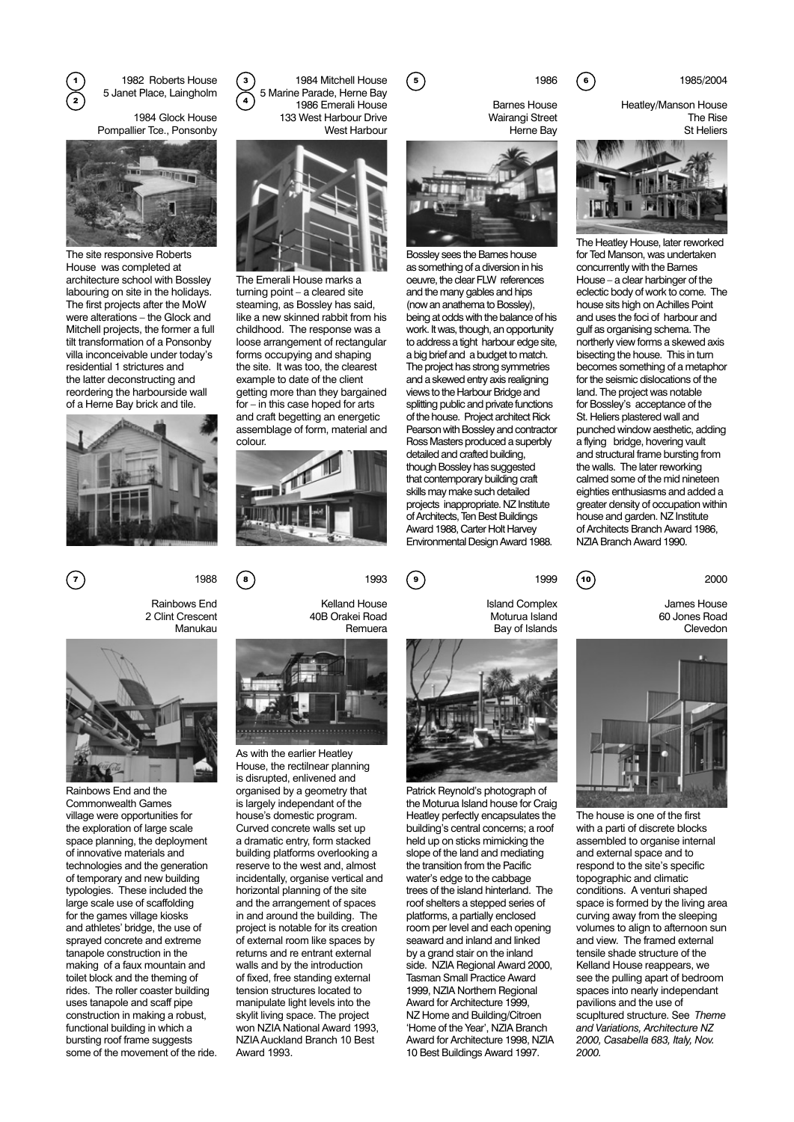1982 Roberts House  $\widetilde{\mathbf{z}}$  5 Janet Place, Laingholm  $\widetilde{\mathbf{z}}$ 

> 1984 Glock House Pompallier Tce., Ponsonby



The site responsive Roberts House was completed at architecture school with Bossley labouring on site in the holidays. The first projects after the MoW were alterations – the Glock and Mitchell projects, the former a full tilt transformation of a Ponsonby villa inconceivable under today's residential 1 strictures and the latter deconstructing and reordering the harbourside wall of a Herne Bay brick and tile.



1) 1982 Roberts House (3) 1984 Mitchell House (5) 1986 (6) 1985/2004 5 Marine Parade, Herne Bay 1986 Emerali House 133 West Harbour Drive West Harbour



The Emerali House marks a turning point – a cleared site steaming, as Bossley has said, like a new skinned rabbit from his childhood. The response was a loose arrangement of rectangular forms occupying and shaping the site. It was too, the clearest example to date of the client getting more than they bargained for – in this case hoped for arts and craft begetting an energetic assemblage of form, material and colour.



Barnes House Wairangi Street Herne Bay



Bossley sees the Barnes house as something of a diversion in his oeuvre, the clear FLW references and the many gables and hips (now an anathema to Bossley), being at odds with the balance of his work. It was, though, an opportunity to address a tight harbour edge site. a big brief and a budget to match. The project has strong symmetries and a skewed entry axis realigning views to the Harbour Bridge and splitting public and private functions of the house. Project architect Rick Pearson with Bossley and contractor Ross Masters produced a superbly detailed and crafted building, though Bossley has suggested that contemporary building craft skills may make such detailed projects inappropriate. NZ Institute of Architects, Ten Best Buildings Award 1988, Carter Holt Harvey Environmental Design Award 1988.

1986 5 6

Heatley/Manson House The Rise St Heliers



The Heatley House, later reworked for Ted Manson, was undertaken concurrently with the Barnes House – a clear harbinger of the eclectic body of work to come. The house sits high on Achilles Point and uses the foci of harbour and gulf as organising schema. The northerly view forms a skewed axis bisecting the house. This in turn becomes something of a metaphor for the seismic dislocations of the land. The project was notable for Bossley's acceptance of the St. Heliers plastered wall and punched window aesthetic, adding a flying bridge, hovering vault and structural frame bursting from the walls. The later reworking calmed some of the mid nineteen eighties enthusiasms and added a greater density of occupation within house and garden. NZ Institute of Architects Branch Award 1986, NZIA Branch Award 1990.

2000

James House 60 Jones Road Clevedon



The house is one of the first with a parti of discrete blocks assembled to organise internal and external space and to respond to the site's specific topographic and climatic conditions. A venturi shaped space is formed by the living area curving away from the sleeping volumes to align to afternoon sun and view. The framed external tensile shade structure of the Kelland House reappears, we see the pulling apart of bedroom spaces into nearly independant pavilions and the use of scupltured structure. See *Theme and Variations, Architecture NZ 2000, Casabella 683, Italy, Nov. 2000.*

Rainbows End 2 Clint Crescent Manukau



Rainbows End and the Commonwealth Games village were opportunities for the exploration of large scale space planning, the deployment of innovative materials and technologies and the generation of temporary and new building typologies. These included the large scale use of scaffolding for the games village kiosks and athletes' bridge, the use of sprayed concrete and extreme tanapole construction in the making of a faux mountain and toilet block and the theming of rides. The roller coaster building uses tanapole and scaff pipe construction in making a robust, functional building in which a bursting roof frame suggests some of the movement of the ride. 40B Orakei Road



As with the earlier Heatley House, the rectilnear planning is disrupted, enlivened and organised by a geometry that is largely independant of the house's domestic program. Curved concrete walls set up a dramatic entry, form stacked building platforms overlooking a reserve to the west and, almost incidentally, organise vertical and horizontal planning of the site and the arrangement of spaces in and around the building. The project is notable for its creation of external room like spaces by returns and re entrant external walls and by the introduction of fixed, free standing external tension structures located to manipulate light levels into the skylit living space. The project won NZIA National Award 1993, NZIA Auckland Branch 10 Best Award 1993.

1993 1988 (8) 1993 (9 7) 1988 (8) 1993 (9) 1999 (10





1999

Island Complex Moturua Island Bay of Islands

Patrick Reynold's photograph of the Moturua Island house for Craig Heatley perfectly encapsulates the building's central concerns; a roof held up on sticks mimicking the slope of the land and mediating the transition from the Pacific water's edge to the cabbage trees of the island hinterland. The roof shelters a stepped series of platforms, a partially enclosed room per level and each opening seaward and inland and linked by a grand stair on the inland side. NZIA Regional Award 2000, Tasman Small Practice Award 1999, NZIA Northern Regional Award for Architecture 1999, NZ Home and Building/Citroen 'Home of the Year', NZIA Branch Award for Architecture 1998, NZIA 10 Best Buildings Award 1997.